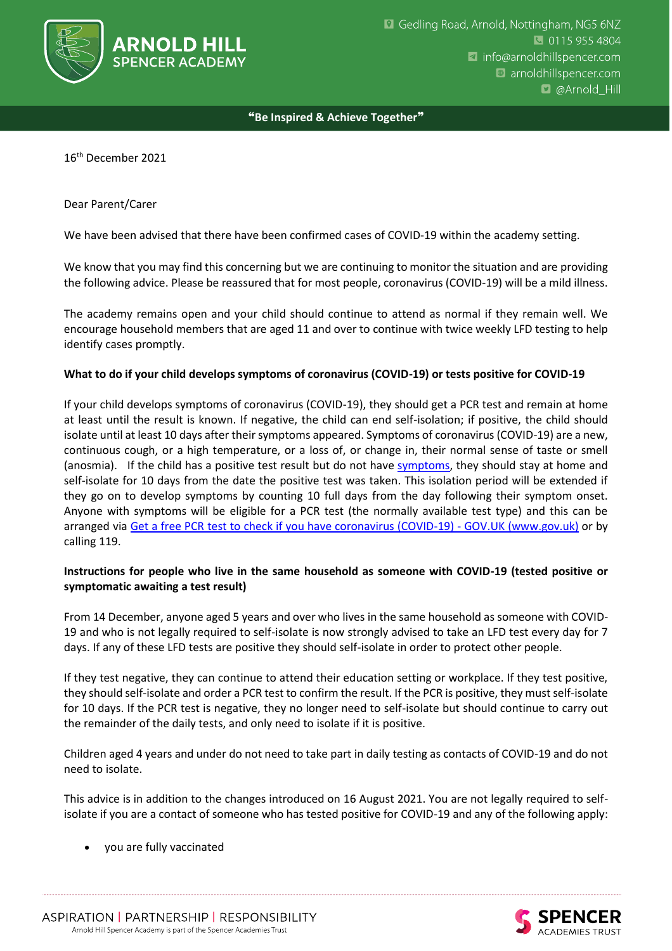

#### ❝**Be Inspired & Achieve Together**❞

16th December 2021

Dear Parent/Carer

We have been advised that there have been confirmed cases of COVID-19 within the academy setting.

We know that you may find this concerning but we are continuing to monitor the situation and are providing the following advice. Please be reassured that for most people, coronavirus (COVID-19) will be a mild illness.

The academy remains open and your child should continue to attend as normal if they remain well. We encourage household members that are aged 11 and over to continue with twice weekly LFD testing to help identify cases promptly.

### **What to do if your child develops symptoms of coronavirus (COVID-19) or tests positive for COVID-19**

If your child develops symptoms of coronavirus (COVID-19), they should get a PCR test and remain at home at least until the result is known. If negative, the child can end self-isolation; if positive, the child should isolate until at least 10 days after their symptoms appeared. Symptoms of coronavirus (COVID-19) are a new, continuous cough, or a high temperature, or a loss of, or change in, their normal sense of taste or smell (anosmia). If the child has a positive test result but do not have [symptoms,](https://www.gov.uk/government/publications/covid-19-stay-at-home-guidance/stay-at-home-guidance-for-households-with-possible-coronavirus-covid-19-infection#symptoms) they should stay at home and self-isolate for 10 days from the date the positive test was taken. This isolation period will be extended if they go on to develop symptoms by counting 10 full days from the day following their symptom onset. Anyone with symptoms will be eligible for a PCR test (the normally available test type) and this can be arranged via Get a free PCR [test to check if you have coronavirus \(COVID-19\) -](https://www.gov.uk/get-coronavirus-test) GOV.UK (www.gov.uk) or by calling 119.

### **Instructions for people who live in the same household as someone with COVID-19 (tested positive or symptomatic awaiting a test result)**

From 14 December, anyone aged 5 years and over who lives in the same household as someone with COVID-19 and who is not legally required to self-isolate is now strongly advised to take an LFD test every day for 7 days. If any of these LFD tests are positive they should self-isolate in order to protect other people.

If they test negative, they can continue to attend their education setting or workplace. If they test positive, they should self-isolate and order a PCR test to confirm the result. If the PCR is positive, they must self-isolate for 10 days. If the PCR test is negative, they no longer need to self-isolate but should continue to carry out the remainder of the daily tests, and only need to isolate if it is positive.

Children aged 4 years and under do not need to take part in daily testing as contacts of COVID-19 and do not need to isolate.

This advice is in addition to the changes introduced on 16 August 2021. You are not legally required to selfisolate if you are a contact of someone who has tested positive for COVID-19 and any of the following apply:

• you are fully vaccinated

ASPIRATION | PARTNERSHIP | RESPONSIBILITY Arnold Hill Spencer Academy is part of the Spencer Academies Trust

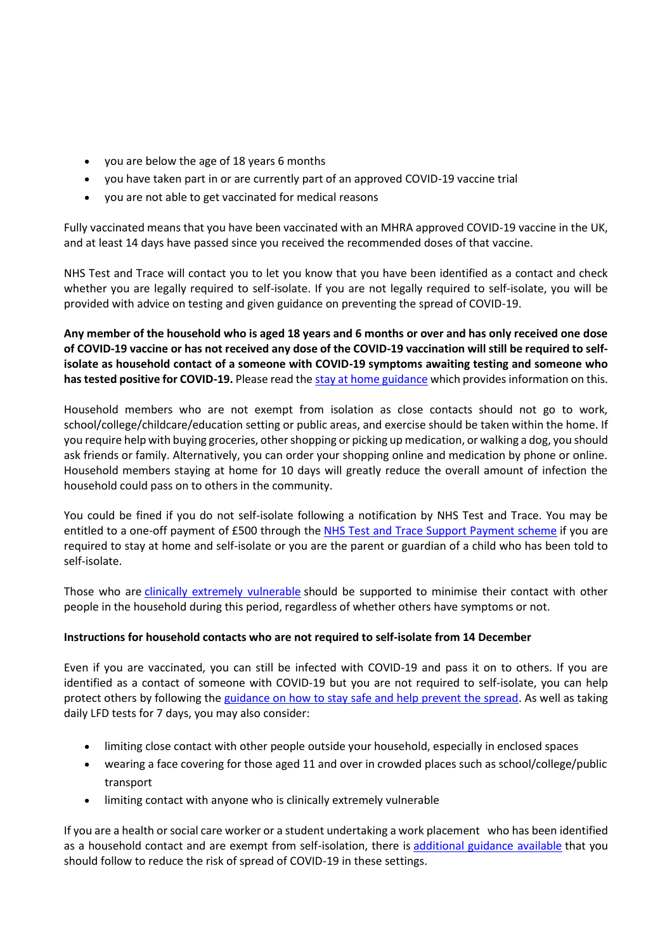- you are below the age of 18 years 6 months
- you have taken part in or are currently part of an approved COVID-19 vaccine trial
- you are not able to get vaccinated for medical reasons

Fully vaccinated means that you have been vaccinated with an MHRA approved COVID-19 vaccine in the UK, and at least 14 days have passed since you received the recommended doses of that vaccine.

NHS Test and Trace will contact you to let you know that you have been identified as a contact and check whether you are legally required to self-isolate. If you are not legally required to self-isolate, you will be provided with advice on testing and given guidance on preventing the spread of COVID-19.

**Any member of the household who is aged 18 years and 6 months or over and has only received one dose of COVID-19 vaccine or has not received any dose of the COVID-19 vaccination will still be required to selfisolate as household contact of a someone with COVID-19 symptoms awaiting testing and someone who has tested positive for COVID-19.** Please read the [stay at home guidance](https://www.gov.uk/government/publications/covid-19-stay-at-home-guidance) which provides information on this.

Household members who are not exempt from isolation as close contacts should not go to work, school/college/childcare/education setting or public areas, and exercise should be taken within the home. If you require help with buying groceries, other shopping or picking up medication, or walking a dog, you should ask friends or family. Alternatively, you can order your shopping online and medication by phone or online. Household members staying at home for 10 days will greatly reduce the overall amount of infection the household could pass on to others in the community.

You could be fined if you do not self-isolate following a notification by NHS Test and Trace. You may be entitled to a one-off payment of £500 through the [NHS Test and Trace Support Payment scheme](https://www.gov.uk/government/publications/test-and-trace-support-payment-scheme-claiming-financial-support/claiming-financial-support-under-the-test-and-trace-support-payment-scheme) if you are required to stay at home and self-isolate or you are the parent or guardian of a child who has been told to self-isolate.

Those who are [clinically extremely vulnerable](https://www.gov.uk/government/publications/guidance-on-shielding-and-protecting-extremely-vulnerable-persons-from-covid-19/guidance-on-shielding-and-protecting-extremely-vulnerable-persons-from-covid-19) should be supported to minimise their contact with other people in the household during this period, regardless of whether others have symptoms or not.

### **Instructions for household contacts who are not required to self-isolate from 14 December**

Even if you are vaccinated, you can still be infected with COVID-19 and pass it on to others. If you are identified as a contact of someone with COVID-19 but you are not required to self-isolate, you can help protect others by following the [guidance on how to stay safe and help prevent the spread.](https://www.gov.uk/guidance/covid-19-coronavirus-restrictions-what-you-can-and-cannot-do#keeping-yourself-and-others-safe) As well as taking daily LFD tests for 7 days, you may also consider:

- limiting close contact with other people outside your household, especially in enclosed spaces
- wearing a face covering for those aged 11 and over in crowded places such as school/college/public transport
- limiting contact with anyone who is clinically extremely vulnerable

If you are a health or social care worker or a student undertaking a work placement who has been identified as a household contact and are exempt from self-isolation, there is [additional guidance available](https://www.gov.uk/government/publications/covid-19-management-of-exposed-healthcare-workers-and-patients-in-hospital-settings/covid-19-management-of-exposed-healthcare-workers-and-patients-in-hospital-settings) that you should follow to reduce the risk of spread of COVID-19 in these settings.